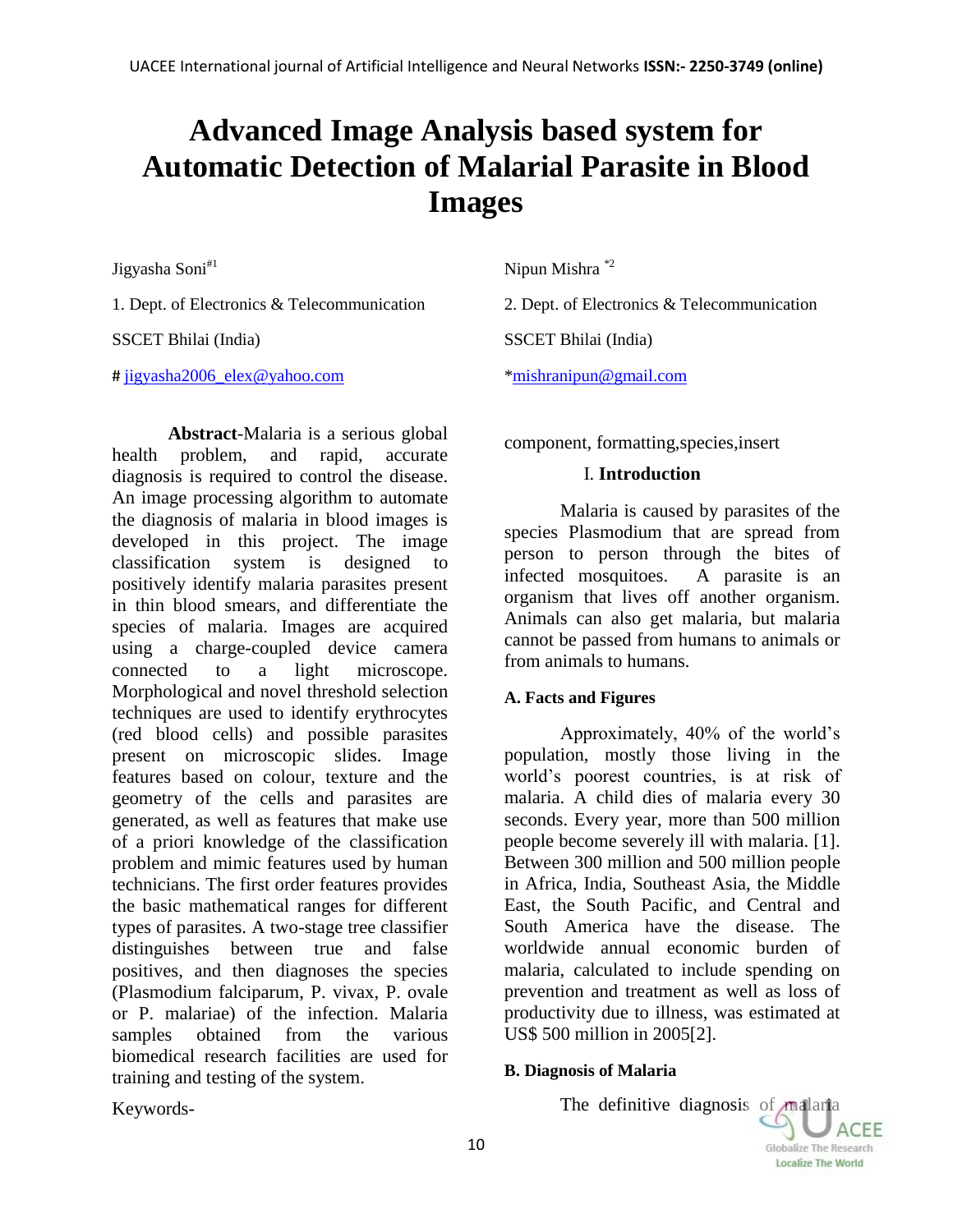# **Advanced Image Analysis based system for Automatic Detection of Malarial Parasite in Blood Images**

Jigyasha Soni<sup>#1</sup>

1. Dept. of Electronics & Telecommunication 2. Dept. of Electronics & Telecommunication

SSCET Bhilai (India) SSCET Bhilai (India)

# [jigyasha2006\\_elex@yahoo.com](mailto:jigyasha2006_elex@yahoo.com) [\\*mishranipun@gmail.com](mailto:mishranipun@gmail.com)

**Abstract**-Malaria is a serious global health problem, and rapid, accurate diagnosis is required to control the disease. An image processing algorithm to automate the diagnosis of malaria in blood images is developed in this project. The image classification system is designed to positively identify malaria parasites present in thin blood smears, and differentiate the species of malaria. Images are acquired using a charge-coupled device camera connected to a light microscope. Morphological and novel threshold selection techniques are used to identify erythrocytes (red blood cells) and possible parasites present on microscopic slides. Image features based on colour, texture and the geometry of the cells and parasites are generated, as well as features that make use of a priori knowledge of the classification problem and mimic features used by human technicians. The first order features provides the basic mathematical ranges for different types of parasites. A two-stage tree classifier distinguishes between true and false positives, and then diagnoses the species (Plasmodium falciparum, P. vivax, P. ovale or P. malariae) of the infection. Malaria samples obtained from the various biomedical research facilities are used for training and testing of the system.

Nipun Mishra \*2

component, formatting,species,insert

# I. **Introduction**

Malaria is caused by parasites of the species Plasmodium that are spread from person to person through the bites of infected mosquitoes. A parasite is an organism that lives off another organism. Animals can also get malaria, but malaria cannot be passed from humans to animals or from animals to humans.

# **A. Facts and Figures**

Approximately, 40% of the world's population, mostly those living in the world's poorest countries, is at risk of malaria. A child dies of malaria every 30 seconds. Every year, more than 500 million people become severely ill with malaria. [1]. Between 300 million and 500 million people in Africa, India, Southeast Asia, the Middle East, the South Pacific, and Central and South America have the disease. The worldwide annual economic burden of malaria, calculated to include spending on prevention and treatment as well as loss of productivity due to illness, was estimated at US\$ 500 million in 2005[2].

# **B. Diagnosis of Malaria**

The definitive diagnosis of malaria



Keywords-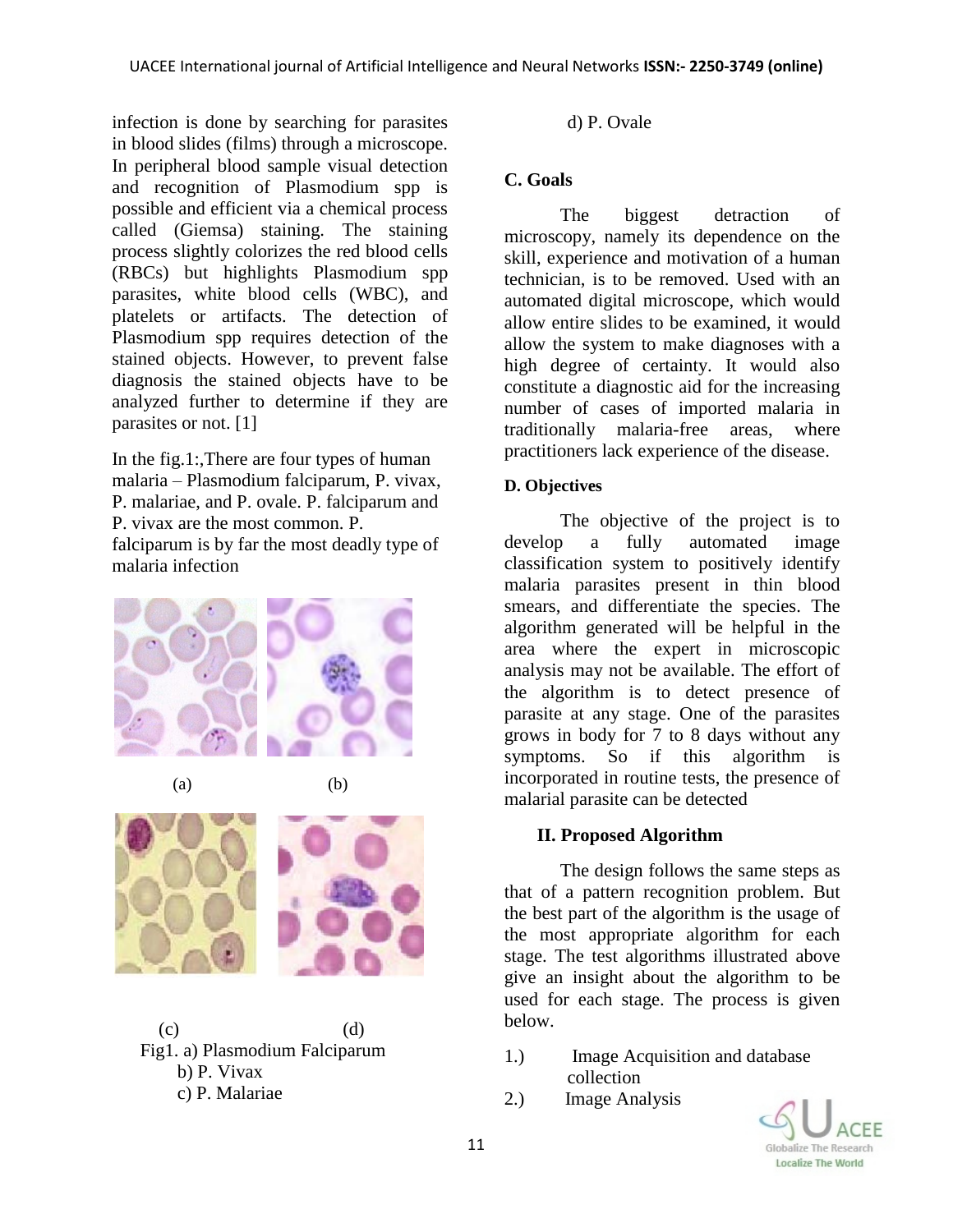infection is done by searching for parasites in blood slides (films) through a microscope. In peripheral blood sample visual detection and recognition of Plasmodium spp is possible and efficient via a chemical process called (Giemsa) staining. The staining process slightly colorizes the red blood cells (RBCs) but highlights Plasmodium spp parasites, white blood cells (WBC), and platelets or artifacts. The detection of Plasmodium spp requires detection of the stained objects. However, to prevent false diagnosis the stained objects have to be analyzed further to determine if they are parasites or not. [1]

In the fig.1:,There are four types of human malaria – Plasmodium falciparum, P. vivax, P. malariae, and P. ovale. P. falciparum and P. vivax are the most common. P. falciparum is by far the most deadly type of malaria infection







 (c) (d) Fig1. a) Plasmodium Falciparum b) P. Vivax c) P. Malariae

# d) P. Ovale

# **C. Goals**

The biggest detraction of microscopy, namely its dependence on the skill, experience and motivation of a human technician, is to be removed. Used with an automated digital microscope, which would allow entire slides to be examined, it would allow the system to make diagnoses with a high degree of certainty. It would also constitute a diagnostic aid for the increasing number of cases of imported malaria in traditionally malaria-free areas, where practitioners lack experience of the disease.

# **D. Objectives**

The objective of the project is to develop a fully automated image classification system to positively identify malaria parasites present in thin blood smears, and differentiate the species. The algorithm generated will be helpful in the area where the expert in microscopic analysis may not be available. The effort of the algorithm is to detect presence of parasite at any stage. One of the parasites grows in body for 7 to 8 days without any symptoms. So if this algorithm is incorporated in routine tests, the presence of malarial parasite can be detected

# **II. Proposed Algorithm**

The design follows the same steps as that of a pattern recognition problem. But the best part of the algorithm is the usage of the most appropriate algorithm for each stage. The test algorithms illustrated above give an insight about the algorithm to be used for each stage. The process is given below.

- 1.) Image Acquisition and database collection
- 2.) Image Analysis

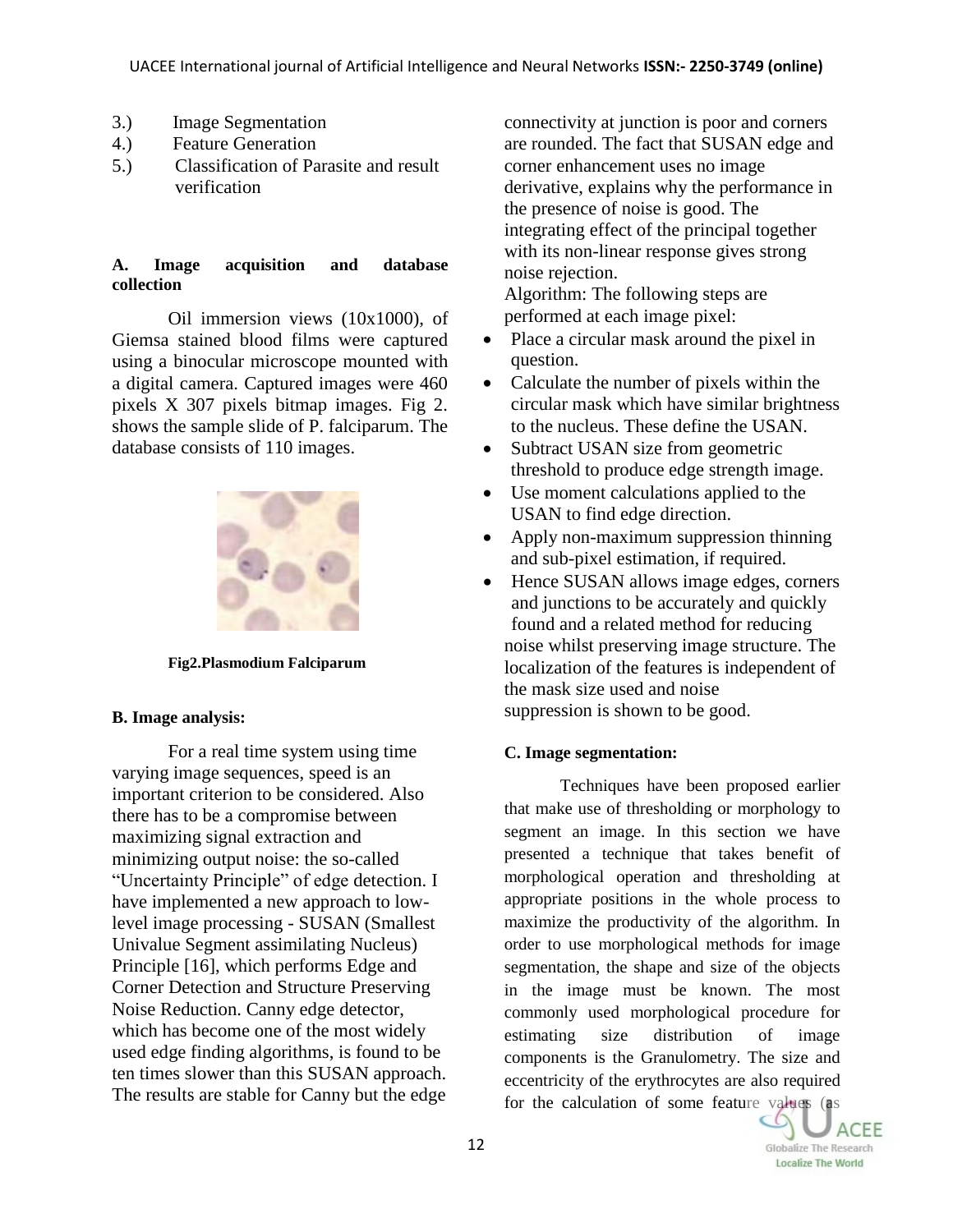- 3.) Image Segmentation
- 4.) Feature Generation
- 5.) Classification of Parasite and result verification

#### **A. Image acquisition and database collection**

Oil immersion views (10x1000), of Giemsa stained blood films were captured using a binocular microscope mounted with a digital camera. Captured images were 460 pixels X 307 pixels bitmap images. Fig 2. shows the sample slide of P. falciparum. The database consists of 110 images.



 **Fig2.Plasmodium Falciparum** 

# **B. Image analysis:**

For a real time system using time varying image sequences, speed is an important criterion to be considered. Also there has to be a compromise between maximizing signal extraction and minimizing output noise: the so-called "Uncertainty Principle" of edge detection. I have implemented a new approach to lowlevel image processing - SUSAN (Smallest Univalue Segment assimilating Nucleus) Principle [16], which performs Edge and Corner Detection and Structure Preserving Noise Reduction. Canny edge detector, which has become one of the most widely used edge finding algorithms, is found to be ten times slower than this SUSAN approach. The results are stable for Canny but the edge connectivity at junction is poor and corners are rounded. The fact that SUSAN edge and corner enhancement uses no image derivative, explains why the performance in the presence of noise is good. The integrating effect of the principal together with its non-linear response gives strong noise rejection. Algorithm: The following steps are

performed at each image pixel:

- Place a circular mask around the pixel in question.
- Calculate the number of pixels within the circular mask which have similar brightness to the nucleus. These define the USAN.
- Subtract USAN size from geometric threshold to produce edge strength image.
- Use moment calculations applied to the USAN to find edge direction.
- Apply non-maximum suppression thinning and sub-pixel estimation, if required.
- Hence SUSAN allows image edges, corners and junctions to be accurately and quickly found and a related method for reducing noise whilst preserving image structure. The localization of the features is independent of the mask size used and noise suppression is shown to be good.

# **C. Image segmentation:**

Techniques have been proposed earlier that make use of thresholding or morphology to segment an image. In this section we have presented a technique that takes benefit of morphological operation and thresholding at appropriate positions in the whole process to maximize the productivity of the algorithm. In order to use morphological methods for image segmentation, the shape and size of the objects in the image must be known. The most commonly used morphological procedure for estimating size distribution of image components is the Granulometry. The size and eccentricity of the erythrocytes are also required for the calculation of some feature values (as

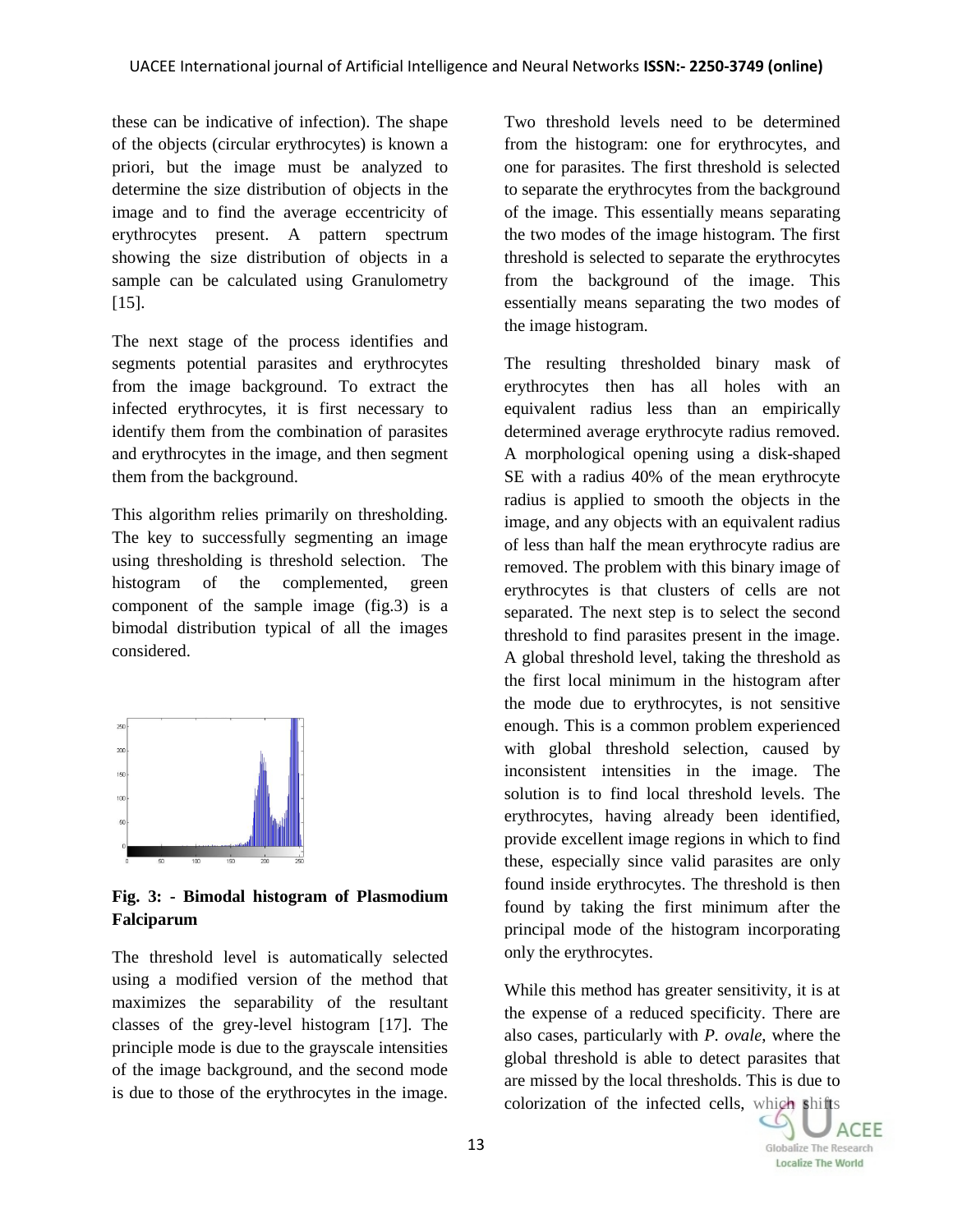these can be indicative of infection). The shape of the objects (circular erythrocytes) is known a priori, but the image must be analyzed to determine the size distribution of objects in the image and to find the average eccentricity of erythrocytes present. A pattern spectrum showing the size distribution of objects in a sample can be calculated using Granulometry [15].

The next stage of the process identifies and segments potential parasites and erythrocytes from the image background. To extract the infected erythrocytes, it is first necessary to identify them from the combination of parasites and erythrocytes in the image, and then segment them from the background.

This algorithm relies primarily on thresholding. The key to successfully segmenting an image using thresholding is threshold selection. The histogram of the complemented, green component of the sample image (fig.3) is a bimodal distribution typical of all the images considered.



**Fig. 3: - Bimodal histogram of Plasmodium Falciparum**

The threshold level is automatically selected using a modified version of the method that maximizes the separability of the resultant classes of the grey-level histogram [17]. The principle mode is due to the grayscale intensities of the image background, and the second mode is due to those of the erythrocytes in the image.

Two threshold levels need to be determined from the histogram: one for erythrocytes, and one for parasites. The first threshold is selected to separate the erythrocytes from the background of the image. This essentially means separating the two modes of the image histogram. The first threshold is selected to separate the erythrocytes from the background of the image. This essentially means separating the two modes of the image histogram.

The resulting thresholded binary mask of erythrocytes then has all holes with an equivalent radius less than an empirically determined average erythrocyte radius removed. A morphological opening using a disk-shaped SE with a radius 40% of the mean erythrocyte radius is applied to smooth the objects in the image, and any objects with an equivalent radius of less than half the mean erythrocyte radius are removed. The problem with this binary image of erythrocytes is that clusters of cells are not separated. The next step is to select the second threshold to find parasites present in the image. A global threshold level, taking the threshold as the first local minimum in the histogram after the mode due to erythrocytes, is not sensitive enough. This is a common problem experienced with global threshold selection, caused by inconsistent intensities in the image. The solution is to find local threshold levels. The erythrocytes, having already been identified, provide excellent image regions in which to find these, especially since valid parasites are only found inside erythrocytes. The threshold is then found by taking the first minimum after the principal mode of the histogram incorporating only the erythrocytes.

While this method has greater sensitivity, it is at the expense of a reduced specificity. There are also cases, particularly with *P. ovale*, where the global threshold is able to detect parasites that are missed by the local thresholds. This is due to colorization of the infected cells, which shifts

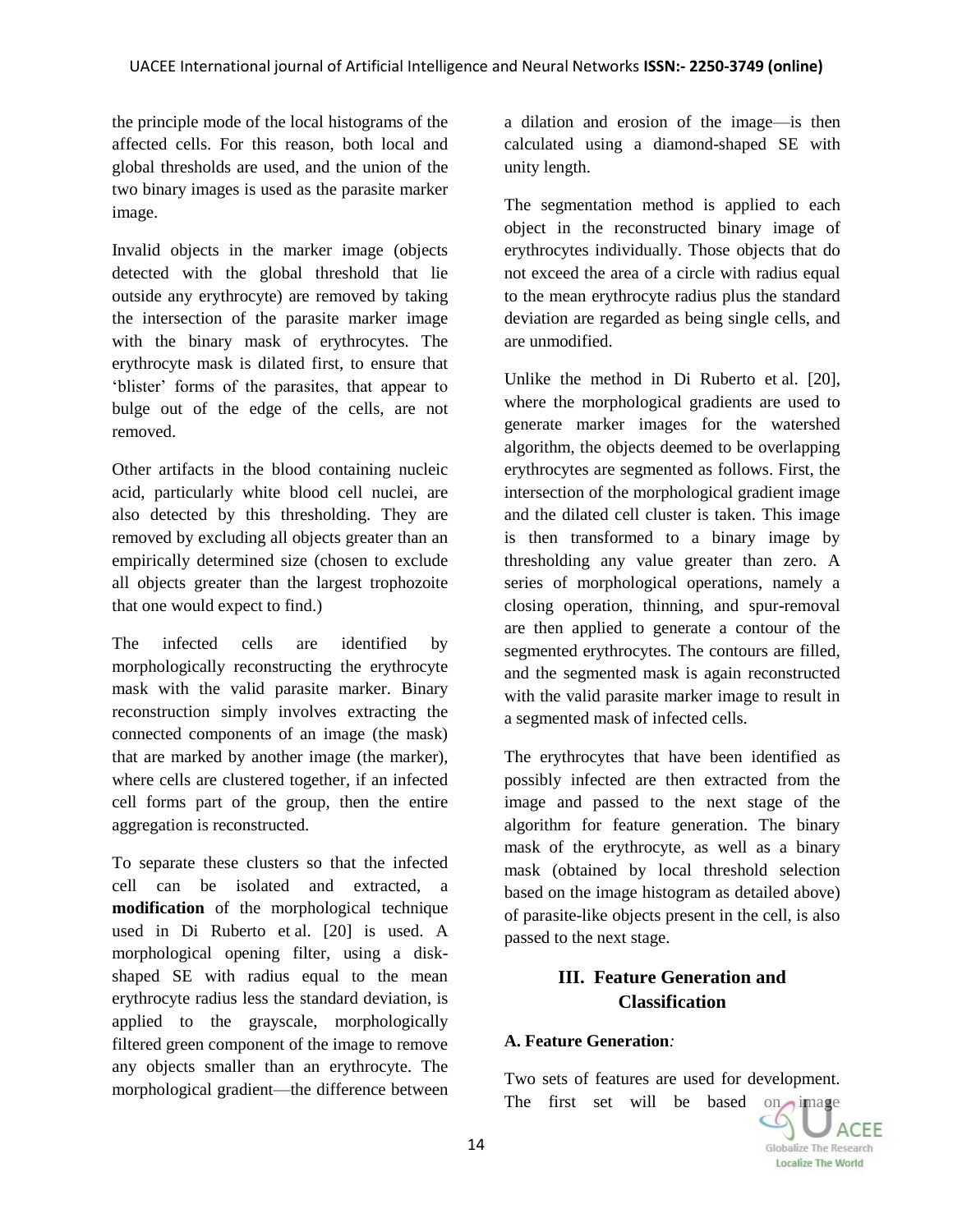the principle mode of the local histograms of the affected cells. For this reason, both local and global thresholds are used, and the union of the two binary images is used as the parasite marker image.

Invalid objects in the marker image (objects detected with the global threshold that lie outside any erythrocyte) are removed by taking the intersection of the parasite marker image with the binary mask of erythrocytes. The erythrocyte mask is dilated first, to ensure that ‗blister' forms of the parasites, that appear to bulge out of the edge of the cells, are not removed.

Other artifacts in the blood containing nucleic acid, particularly white blood cell nuclei, are also detected by this thresholding. They are removed by excluding all objects greater than an empirically determined size (chosen to exclude all objects greater than the largest trophozoite that one would expect to find.)

The infected cells are identified by morphologically reconstructing the erythrocyte mask with the valid parasite marker. Binary reconstruction simply involves extracting the connected components of an image (the mask) that are marked by another image (the marker), where cells are clustered together, if an infected cell forms part of the group, then the entire aggregation is reconstructed.

To separate these clusters so that the infected cell can be isolated and extracted, a **modification** of the morphological technique used in Di Ruberto et al. [20] is used. A morphological opening filter, using a diskshaped SE with radius equal to the mean erythrocyte radius less the standard deviation, is applied to the grayscale, morphologically filtered green component of the image to remove any objects smaller than an erythrocyte. The morphological gradient—the difference between

a dilation and erosion of the image—is then calculated using a diamond-shaped SE with unity length.

The segmentation method is applied to each object in the reconstructed binary image of erythrocytes individually. Those objects that do not exceed the area of a circle with radius equal to the mean erythrocyte radius plus the standard deviation are regarded as being single cells, and are unmodified.

Unlike the method in Di Ruberto et al. [20], where the morphological gradients are used to generate marker images for the watershed algorithm, the objects deemed to be overlapping erythrocytes are segmented as follows. First, the intersection of the morphological gradient image and the dilated cell cluster is taken. This image is then transformed to a binary image by thresholding any value greater than zero. A series of morphological operations, namely a closing operation, thinning, and spur-removal are then applied to generate a contour of the segmented erythrocytes. The contours are filled, and the segmented mask is again reconstructed with the valid parasite marker image to result in a segmented mask of infected cells.

The erythrocytes that have been identified as possibly infected are then extracted from the image and passed to the next stage of the algorithm for feature generation. The binary mask of the erythrocyte, as well as a binary mask (obtained by local threshold selection based on the image histogram as detailed above) of parasite-like objects present in the cell, is also passed to the next stage.

# **III. Feature Generation and Classification**

# **A. Feature Generation***:*

Two sets of features are used for development. The first set will be based on image

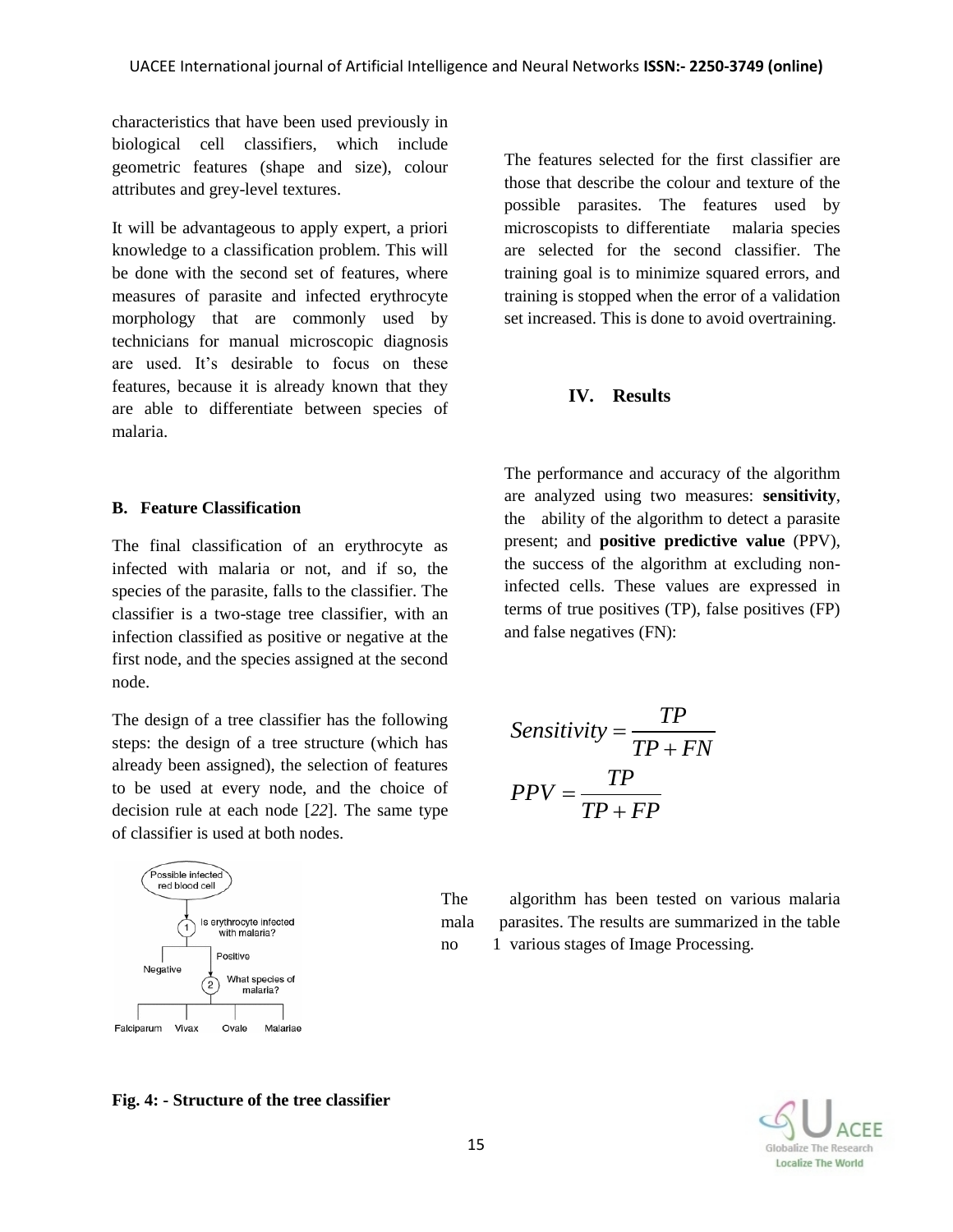characteristics that have been used previously in biological cell classifiers, which include geometric features (shape and size), colour attributes and grey-level textures.

It will be advantageous to apply expert, a priori knowledge to a classification problem. This will be done with the second set of features, where measures of parasite and infected erythrocyte morphology that are commonly used by technicians for manual microscopic diagnosis are used. It's desirable to focus on these features, because it is already known that they are able to differentiate between species of malaria.

#### **B. Feature Classification**

The final classification of an erythrocyte as infected with malaria or not, and if so, the species of the parasite, falls to the classifier. The classifier is a two-stage tree classifier, with an infection classified as positive or negative at the first node, and the species assigned at the second node.

The design of a tree classifier has the following steps: the design of a tree structure (which has already been assigned), the selection of features to be used at every node, and the choice of decision rule at each node [*22*]. The same type of classifier is used at both nodes.



The features selected for the first classifier are those that describe the colour and texture of the possible parasites. The features used by microscopists to differentiate malaria species are selected for the second classifier. The training goal is to minimize squared errors, and training is stopped when the error of a validation set increased. This is done to avoid overtraining.

#### **IV. Results**

The performance and accuracy of the algorithm are analyzed using two measures: **sensitivity**, the ability of the algorithm to detect a parasite present; and **positive predictive value** (PPV), the success of the algorithm at excluding noninfected cells. These values are expressed in terms of true positives (TP), false positives (FP) and false negatives (FN):

Sensitivity = 
$$
\frac{TP}{TP + FN}
$$

$$
PPV = \frac{TP}{TP + FP}
$$

The algorithm has been tested on various malaria mala parasites. The results are summarized in the table no 1 various stages of Image Processing.



#### **Fig. 4: - Structure of the tree classifier**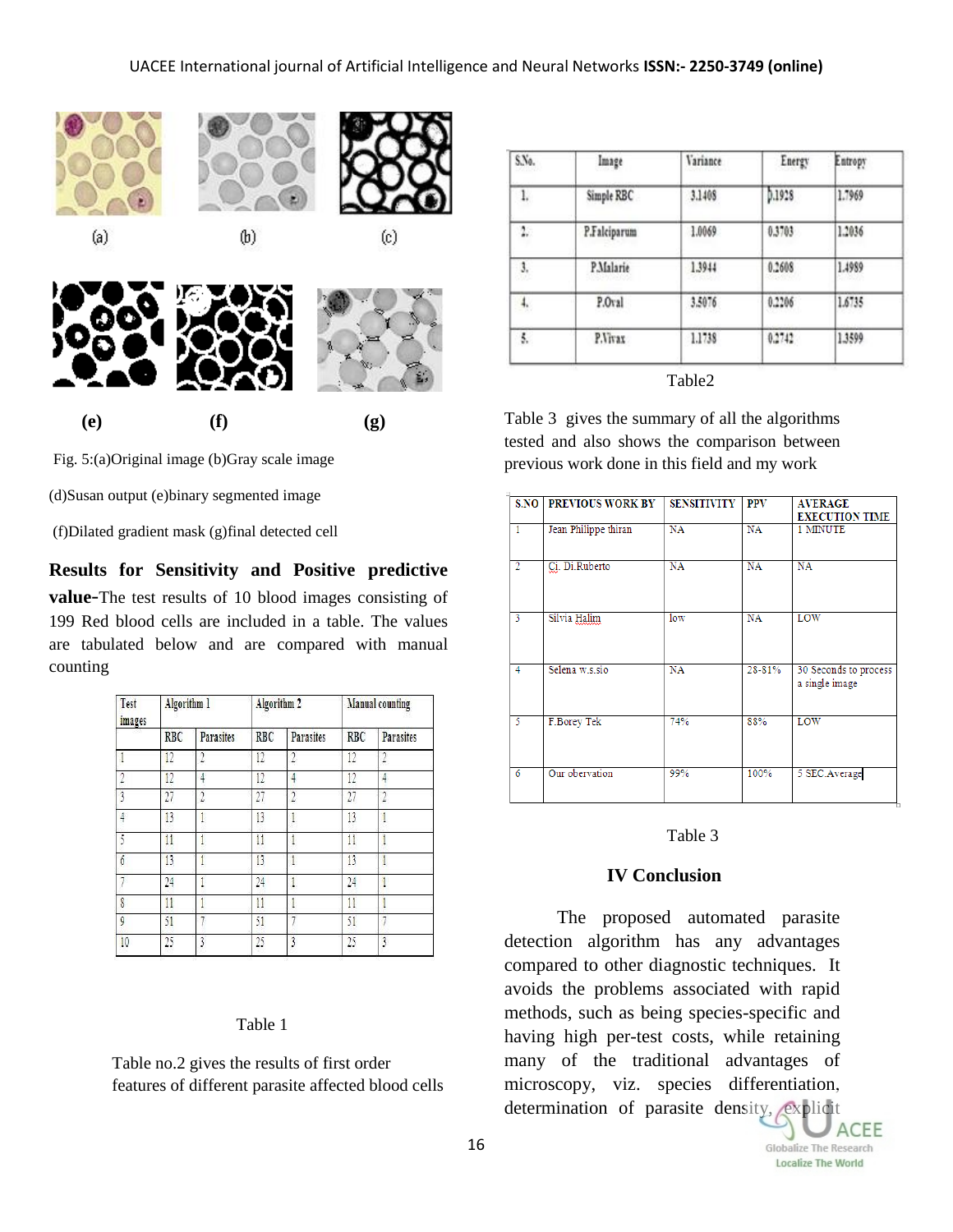

Fig. 5:(a)Original image (b)Gray scale image

(d)Susan output (e)binary segmented image

(f)Dilated gradient mask (g)final detected cell

**Results for Sensitivity and Positive predictive value**-The test results of 10 blood images consisting of 199 Red blood cells are included in a table. The values are tabulated below and are compared with manual counting

| <b>Test</b><br>images | Algorithm 1 |                  | Algorithm 2 |                | <b>Manual</b> counting |                  |
|-----------------------|-------------|------------------|-------------|----------------|------------------------|------------------|
|                       | <b>RBC</b>  | <b>Parasites</b> | <b>RBC</b>  | Parasites      | <b>RBC</b>             | <b>Parasites</b> |
|                       | 12          | $\overline{2}$   | 12          | $\overline{2}$ | 12                     | 2                |
| $\overline{2}$        | 12          | 4                | 12          | 4              | 12                     | 4                |
| 3                     | 27          | ٥                | 27          | ŋ              | 27                     | ٥                |
| $\overline{4}$        | 13          |                  | 13          |                | 13                     |                  |
| 5                     | 11          |                  | 11          |                | 11                     |                  |
| 6                     | 13          |                  | 13          |                | 13                     |                  |
|                       | 24          |                  | 24          |                | 24                     |                  |
| $\delta$              | 11          |                  | 11          |                | 11                     |                  |
| 9                     | 51          |                  | 51          |                | 51                     |                  |
| 10                    | 25          | 3                | 25          | 3              | 25                     | 3                |

#### Table 1

Table no.2 gives the results of first order features of different parasite affected blood cells

| S.No.    | Image            | Variance | Energy | Entropy |
|----------|------------------|----------|--------|---------|
| 1.       | Simple RBC       | 3.1408   | 0.1928 | 1.7969  |
| 2.1      | P.Falciparum     | 1.0069   | 0.3703 | 1.2036  |
| 3.<br>99 | <b>P.Malarie</b> | 1.3944   | 0.2608 | 1.4989  |
| 4,       | P.Oval           | 3.5076   | 0.2206 | 1.6735  |
| 5.       | P.Vivax          | 1.1738   | 0.2742 | 1,3599  |

Table2

Table 3 gives the summary of all the algorithms tested and also shows the comparison between previous work done in this field and my work

| S.NO           | <b>PREVIOUS WORK BY</b> | <b>SENSITIVITY</b> | <b>PPV</b> | <b>AVERAGE</b><br><b>EXECUTION TIME</b> |
|----------------|-------------------------|--------------------|------------|-----------------------------------------|
| $\mathbf{1}$   | Jean Philippe thiran    | NA                 | NA         | 1 MINUTE                                |
| $\overline{2}$ | Ci. Di.Ruberto          | NA                 | NA         | NA                                      |
| 3              | Silvia Halim            | low                | NA         | LOW                                     |
| 4              | Selena w.s.sio          | NA                 | 28-81%     | 30 Seconds to process<br>a single image |
| 5              | F.Borey Tek             | 74%                | 88%        | LOW                                     |
| 6              | Our obervation          | 99%                | 100%       | 5 SEC. Average                          |

#### Table 3

#### **IV Conclusion**

The proposed automated parasite detection algorithm has any advantages compared to other diagnostic techniques. It avoids the problems associated with rapid methods, such as being species-specific and having high per-test costs, while retaining many of the traditional advantages of microscopy, viz. species differentiation, determination of parasite density, explicit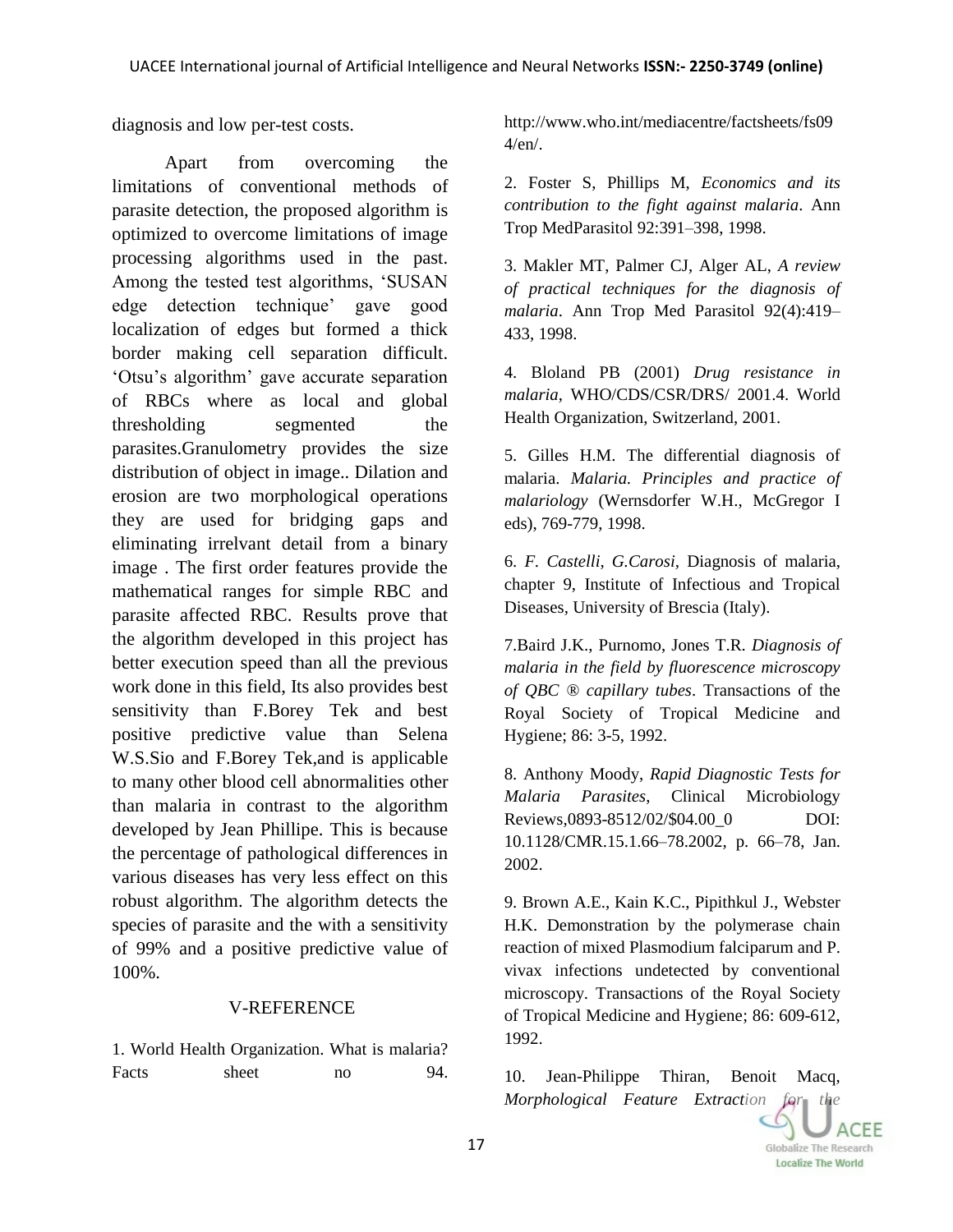diagnosis and low per-test costs.

Apart from overcoming the limitations of conventional methods of parasite detection, the proposed algorithm is optimized to overcome limitations of image processing algorithms used in the past. Among the tested test algorithms, 'SUSAN edge detection technique' gave good localization of edges but formed a thick border making cell separation difficult. ‗Otsu's algorithm' gave accurate separation of RBCs where as local and global thresholding segmented the parasites.Granulometry provides the size distribution of object in image.. Dilation and erosion are two morphological operations they are used for bridging gaps and eliminating irrelvant detail from a binary image . The first order features provide the mathematical ranges for simple RBC and parasite affected RBC. Results prove that the algorithm developed in this project has better execution speed than all the previous work done in this field, Its also provides best sensitivity than F.Borey Tek and best positive predictive value than Selena W.S.Sio and F.Borey Tek,and is applicable to many other blood cell abnormalities other than malaria in contrast to the algorithm developed by Jean Phillipe. This is because the percentage of pathological differences in various diseases has very less effect on this robust algorithm. The algorithm detects the species of parasite and the with a sensitivity of 99% and a positive predictive value of 100%.

#### V-REFERENCE

1. World Health Organization. What is malaria? Facts sheet no 94. http://www.who.int/mediacentre/factsheets/fs09 4/en/.

2. Foster S, Phillips M, *Economics and its contribution to the fight against malaria*. Ann Trop MedParasitol 92:391–398, 1998.

3. Makler MT, Palmer CJ, Alger AL, *A review of practical techniques for the diagnosis of malaria*. Ann Trop Med Parasitol 92(4):419– 433, 1998.

4. Bloland PB (2001) *Drug resistance in malaria*, WHO/CDS/CSR/DRS/ 2001.4. World Health Organization, Switzerland, 2001.

5. Gilles H.M. The differential diagnosis of malaria. *Malaria. Principles and practice of malariology* (Wernsdorfer W.H., McGregor I eds), 769-779, 1998.

6. *F. Castelli, G.Carosi,* Diagnosis of malaria, chapter 9, Institute of Infectious and Tropical Diseases*,* University of Brescia (Italy).

7.Baird J.K., Purnomo, Jones T.R. *Diagnosis of malaria in the field by fluorescence microscopy of QBC ® capillary tubes*. Transactions of the Royal Society of Tropical Medicine and Hygiene; 86: 3-5, 1992.

8. Anthony Moody, *Rapid Diagnostic Tests for Malaria Parasites*, Clinical Microbiology Reviews,0893-8512/02/\$04.00\_0 DOI: 10.1128/CMR.15.1.66–78.2002, p. 66–78, Jan. 2002.

9. Brown A.E., Kain K.C., Pipithkul J., Webster H.K. Demonstration by the polymerase chain reaction of mixed Plasmodium falciparum and P. vivax infections undetected by conventional microscopy. Transactions of the Royal Society of Tropical Medicine and Hygiene; 86: 609-612, 1992.

10. Jean-Philippe Thiran, Benoit Macq, *Morphological Feature Extraction for the* 

CEE

Globalize The Research Localize The World